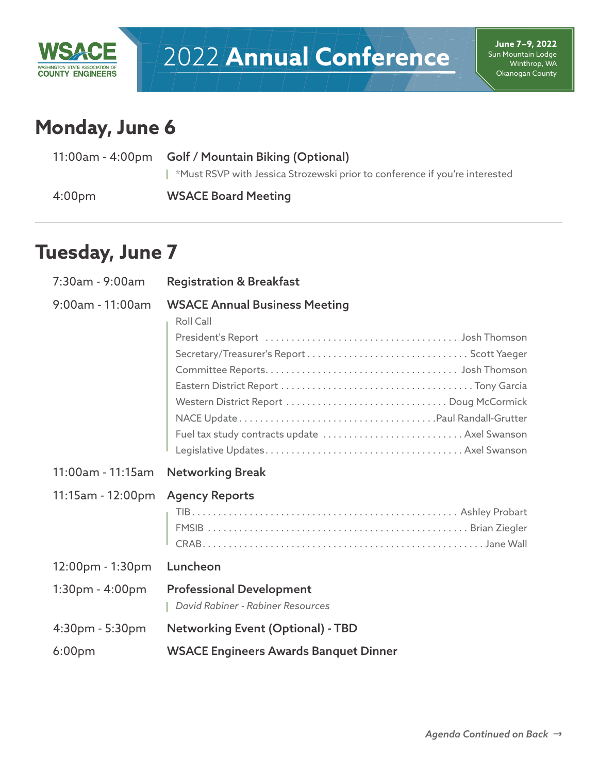

# 2022 **Annual Conference**

**June 7–9, 2022** Sun Mountain Lodge Winthrop, WA Okanogan County

## **Monday, June 6**

|                    | 11:00am - 4:00pm Golf / Mountain Biking (Optional)                          |  |
|--------------------|-----------------------------------------------------------------------------|--|
|                    | *Must RSVP with Jessica Strozewski prior to conference if you're interested |  |
| 4:00 <sub>pm</sub> | <b>WSACE Board Meeting</b>                                                  |  |

### **Tuesday, June 7**

| 7:30am - 9:00am     | <b>Registration &amp; Breakfast</b>                                                                                                           |
|---------------------|-----------------------------------------------------------------------------------------------------------------------------------------------|
| $9:00$ am - 11:00am | <b>WSACE Annual Business Meeting</b><br>Roll Call<br>Western District Report  Doug McCormick<br>Fuel tax study contracts update  Axel Swanson |
|                     |                                                                                                                                               |
| 11:00am - 11:15am   | <b>Networking Break</b>                                                                                                                       |
| 11:15am - 12:00pm   | <b>Agency Reports</b>                                                                                                                         |
| $12:00$ pm - 1:30pm | Luncheon                                                                                                                                      |
| $1:30pm - 4:00pm$   | <b>Professional Development</b><br>David Rabiner - Rabiner Resources                                                                          |
| $4:30pm - 5:30pm$   | <b>Networking Event (Optional) - TBD</b>                                                                                                      |
| 6:00 <sub>pm</sub>  | <b>WSACE Engineers Awards Banquet Dinner</b>                                                                                                  |